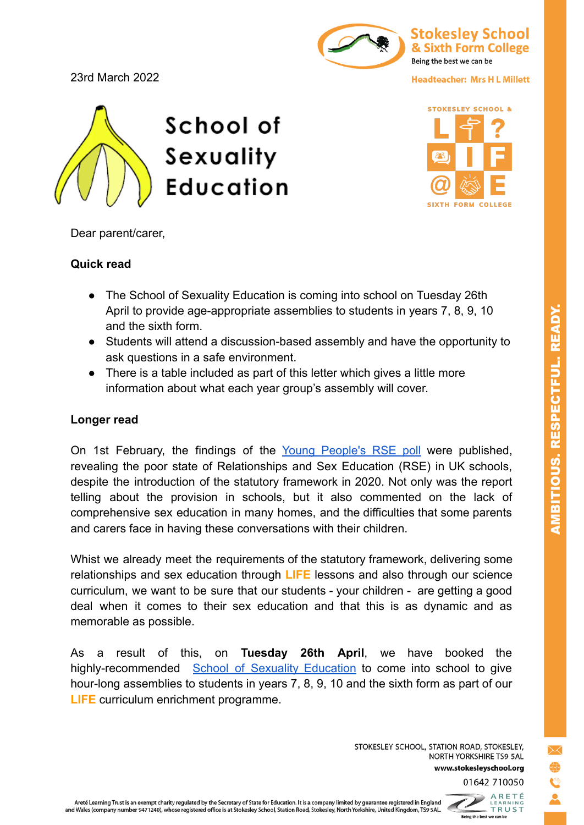## 23rd March 2022



## **Headteacher: Mrs H L Millett**





Dear parent/carer,

## **Quick read**

- The School of Sexuality Education is coming into school on Tuesday 26th April to provide age-appropriate assemblies to students in years 7, 8, 9, 10 and the sixth form.
- Students will attend a discussion-based assembly and have the opportunity to ask questions in a safe environment.
- There is a table included as part of this letter which gives a little more information about what each year group's assembly will cover.

## **Longer read**

On 1st February, the findings of the Young [People's](https://www.sexeducationforum.org.uk/sites/default/files/field/attachment/Young%20Peoples%20RSE%20Poll%202021%20-%20SEF%201%20Feb%202022.pdf) RSE poll were published, revealing the poor state of Relationships and Sex Education (RSE) in UK schools, despite the introduction of the statutory framework in 2020. Not only was the report telling about the provision in schools, but it also commented on the lack of comprehensive sex education in many homes, and the difficulties that some parents and carers face in having these conversations with their children.

Whist we already meet the requirements of the statutory framework, delivering some relationships and sex education through **LIFE** lessons and also through our science curriculum, we want to be sure that our students - your children - are getting a good deal when it comes to their sex education and that this is as dynamic and as memorable as possible.

As a result of this, on **Tuesday 26th April**, we have booked the highly-recommended School of Sexuality [Education](https://schoolofsexed.org/) to come into school to give hour-long assemblies to students in years 7, 8, 9, 10 and the sixth form as part of our **LIFE** curriculum enrichment programme.

> STOKESLEY SCHOOL, STATION ROAD, STOKESLEY, NORTH YORKSHIRE TS9 5AL www.stokesleyschool.org 01642 710050

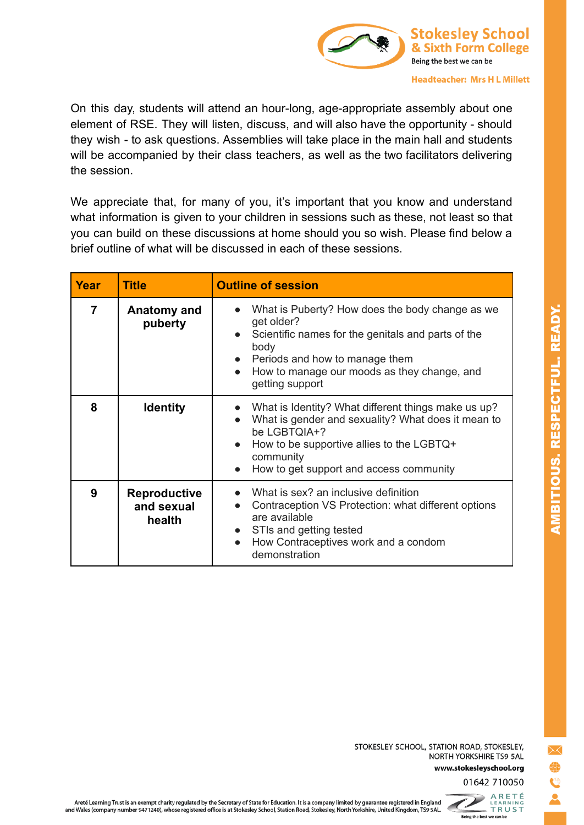

On this day, students will attend an hour-long, age-appropriate assembly about one element of RSE. They will listen, discuss, and will also have the opportunity - should they wish - to ask questions. Assemblies will take place in the main hall and students will be accompanied by their class teachers, as well as the two facilitators delivering the session.

We appreciate that, for many of you, it's important that you know and understand what information is given to your children in sessions such as these, not least so that you can build on these discussions at home should you so wish. Please find below a brief outline of what will be discussed in each of these sessions.

| Year           | <b>Title</b>                                | <b>Outline of session</b>                                                                                                                                                                                                                                              |
|----------------|---------------------------------------------|------------------------------------------------------------------------------------------------------------------------------------------------------------------------------------------------------------------------------------------------------------------------|
| $\overline{7}$ | Anatomy and<br>puberty                      | What is Puberty? How does the body change as we<br>$\bullet$<br>get older?<br>Scientific names for the genitals and parts of the<br>body<br>Periods and how to manage them<br>$\bullet$<br>How to manage our moods as they change, and<br>$\bullet$<br>getting support |
| 8              | <b>Identity</b>                             | What is Identity? What different things make us up?<br>What is gender and sexuality? What does it mean to<br>$\bullet$<br>be LGBTOIA+?<br>How to be supportive allies to the LGBTQ+<br>$\bullet$<br>community<br>How to get support and access community<br>$\bullet$  |
| 9              | <b>Reproductive</b><br>and sexual<br>health | What is sex? an inclusive definition<br>Contraception VS Protection: what different options<br>$\bullet$<br>are available<br>STIs and getting tested<br>$\bullet$<br>How Contraceptives work and a condom<br>$\bullet$<br>demonstration                                |

STOKESLEY SCHOOL, STATION ROAD, STOKESLEY, NORTH YORKSHIRE TS9 5AL www.stokesleyschool.org



ARETÉ<br>LEARNING<br>- TRUST D Being the best we can be

Areté Learning Trust is an exempt charity regulated by the Secretary of State for Education. It is a company limited by guarantee registered in England Areté Learning Trust is an exempt charity regulated by the Secretary of State for Education. It is a company limited by guarantee registered in England<br>and Wales (company number 9471240), whose registered office is at Stok